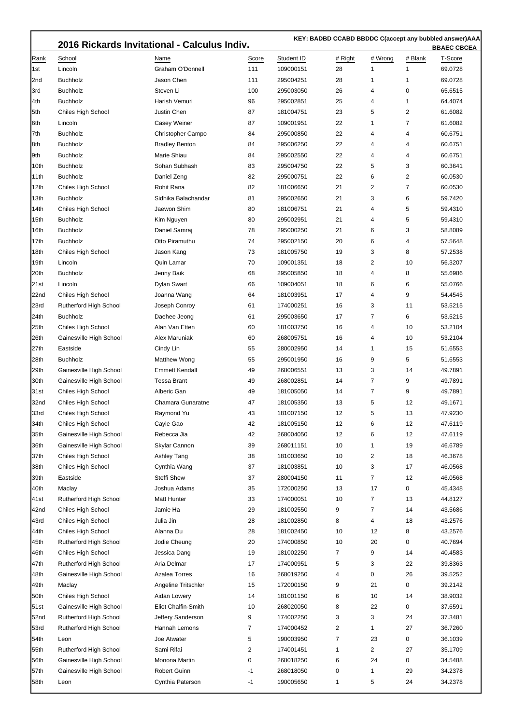ı

 **KEY: BADBD CCABD BBDDC C(accept any bubbled answer)AAA**

|      |                         | 2016 Rickards Invitational - Calculus Indiv. |       |            |         |         |                |         |  |
|------|-------------------------|----------------------------------------------|-------|------------|---------|---------|----------------|---------|--|
| Rank | School                  | Name                                         | Score | Student ID | # Right | # Wrong | # Blank        | T-Score |  |
| 1st  | Lincoln                 | Graham O'Donnell                             | 111   | 109000151  | 28      | 1       | 1              | 69.0728 |  |
| 2nd  | <b>Buchholz</b>         | Jason Chen                                   | 111   | 295004251  | 28      | 1       | $\mathbf{1}$   | 69.0728 |  |
| 3rd  | <b>Buchholz</b>         | Steven Li                                    | 100   | 295003050  | 26      | 4       | 0              | 65.6515 |  |
| 4th  | <b>Buchholz</b>         | Harish Vemuri                                | 96    | 295002851  | 25      | 4       | $\mathbf{1}$   | 64.4074 |  |
| 5th  | Chiles High School      | Justin Chen                                  | 87    | 181004751  | 23      | 5       | $\overline{2}$ | 61.6082 |  |
| 6th  | Lincoln                 | Casey Weiner                                 | 87    | 109001951  | 22      | 1       | $\overline{7}$ | 61.6082 |  |
| 7th  | <b>Buchholz</b>         | Christopher Campo                            | 84    | 295000850  | 22      | 4       | 4              | 60.6751 |  |
| 8th  | <b>Buchholz</b>         | <b>Bradley Benton</b>                        | 84    | 295006250  | 22      | 4       | 4              | 60.6751 |  |
| 9th  | <b>Buchholz</b>         | Marie Shiau                                  | 84    | 295002550  | 22      | 4       | 4              | 60.6751 |  |
| 10th | <b>Buchholz</b>         | Sohan Subhash                                | 83    | 295004750  | 22      | 5       | 3              | 60.3641 |  |
| 11th | <b>Buchholz</b>         | Daniel Zeng                                  | 82    | 295000751  | 22      | 6       | $\overline{2}$ | 60.0530 |  |
| 12th | Chiles High School      | Rohit Rana                                   | 82    | 181006650  | 21      | 2       | $\overline{7}$ | 60.0530 |  |
| 13th | <b>Buchholz</b>         | Sidhika Balachandar                          | 81    | 295002650  | 21      | 3       | 6              | 59.7420 |  |
| 14th | Chiles High School      | Jaewon Shim                                  | 80    | 181006751  | 21      | 4       | 5              | 59.4310 |  |
| 15th | <b>Buchholz</b>         | Kim Nguyen                                   | 80    | 295002951  | 21      | 4       | 5              | 59.4310 |  |
| 16th | <b>Buchholz</b>         | Daniel Samraj                                | 78    | 295000250  | 21      | 6       | 3              | 58.8089 |  |
| 17th | <b>Buchholz</b>         | Otto Piramuthu                               | 74    | 295002150  | 20      | 6       | 4              | 57.5648 |  |
| 18th | Chiles High School      | Jason Kang                                   | 73    | 181005750  | 19      | 3       | 8              | 57.2538 |  |
| 19th | Lincoln                 | Quin Lamar                                   | 70    | 109001351  | 18      | 2       | 10             | 56.3207 |  |
| 20th | <b>Buchholz</b>         | Jenny Baik                                   | 68    | 295005850  | 18      | 4       | 8              | 55.6986 |  |
| 21st | Lincoln                 | Dylan Swart                                  | 66    | 109004051  | 18      | 6       | 6              | 55.0766 |  |
| 22nd | Chiles High School      | Joanna Wang                                  | 64    | 181003951  | 17      | 4       | 9              | 54.4545 |  |
| 23rd | Rutherford High School  | Joseph Conroy                                | 61    | 174000251  | 16      | 3       | 11             | 53.5215 |  |
| 24th | <b>Buchholz</b>         | Daehee Jeong                                 | 61    | 295003650  | 17      | 7       | 6              | 53.5215 |  |
| 25th | Chiles High School      | Alan Van Etten                               | 60    | 181003750  | 16      | 4       | 10             | 53.2104 |  |
| 26th | Gainesville High School | Alex Maruniak                                | 60    | 268005751  | 16      | 4       | 10             | 53.2104 |  |
| 27th | Eastside                | Cindy Lin                                    | 55    | 280002950  | 14      | 1       | 15             | 51.6553 |  |
| 28th | <b>Buchholz</b>         | Matthew Wong                                 | 55    | 295001950  | 16      | 9       | 5              | 51.6553 |  |
| 29th | Gainesville High School | <b>Emmett Kendall</b>                        | 49    | 268006551  | 13      | 3       | 14             | 49.7891 |  |
| 30th | Gainesville High School | <b>Tessa Brant</b>                           | 49    | 268002851  | 14      | 7       | 9              | 49.7891 |  |
| 31st | Chiles High School      | Alberic Gan                                  | 49    | 181005050  | 14      | 7       | 9              | 49.7891 |  |
| 32nd | Chiles High School      | Chamara Gunaratne                            | 47    | 181005350  | 13      | 5       | 12             | 49.1671 |  |
| 33rd | Chiles High School      | Raymond Yu                                   | 43    | 181007150  | 12      | 5       | 13             | 47.9230 |  |
| 34th | Chiles High School      | Cayle Gao                                    | 42    | 181005150  | 12      | 6       | 12             | 47.6119 |  |
| 35th | Gainesville High School | Rebecca Jia                                  | 42    | 268004050  | 12      | 6       | 12             | 47.6119 |  |
| 36th | Gainesville High School | Skylar Cannon                                | 39    | 268011151  | 10      | 1       | 19             | 46.6789 |  |
| 37th | Chiles High School      | Ashley Tang                                  | 38    | 181003650  | 10      | 2       | 18             | 46.3678 |  |
| 38th | Chiles High School      | Cynthia Wang                                 | 37    | 181003851  | 10      | 3       | 17             | 46.0568 |  |
| 39th | Eastside                | Steffi Shew                                  | 37    | 280004150  | 11      | 7       | 12             | 46.0568 |  |
| 40th | Maclay                  | Joshua Adams                                 | 35    | 172000250  | 13      | 17      | 0              | 45.4348 |  |
| 41st | Rutherford High School  | <b>Matt Hunter</b>                           | 33    | 174000051  | 10      | 7       | 13             | 44.8127 |  |
| 42nd | Chiles High School      | Jamie Ha                                     | 29    | 181002550  | 9       | 7       | 14             | 43.5686 |  |
| 43rd | Chiles High School      | Julia Jin                                    | 28    | 181002850  | 8       | 4       | 18             | 43.2576 |  |
| 44th | Chiles High School      | Alanna Du                                    | 28    | 181002450  | 10      | 12      | 8              | 43.2576 |  |
| 45th | Rutherford High School  | Jodie Cheung                                 | 20    | 174000850  | 10      | 20      | 0              | 40.7694 |  |
| 46th | Chiles High School      | Jessica Dang                                 | 19    | 181002250  | 7       | 9       | 14             | 40.4583 |  |
| 47th | Rutherford High School  | Aria Delmar                                  | 17    | 174000951  | 5       | 3       | 22             | 39.8363 |  |
| 48th | Gainesville High School | <b>Azalea Torres</b>                         | 16    | 268019250  | 4       | 0       | 26             | 39.5252 |  |
| 49th | Maclay                  | Angeline Tritschler                          | 15    | 172000150  | 9       | 21      | $\pmb{0}$      | 39.2142 |  |
| 50th | Chiles High School      | Aidan Lowery                                 | 14    | 181001150  | 6       | 10      | 14             | 38.9032 |  |
| 51st | Gainesville High School | Eliot Chalfin-Smith                          | 10    | 268020050  | 8       | 22      | 0              | 37.6591 |  |
| 52nd | Rutherford High School  | Jeffery Sanderson                            | 9     | 174002250  | 3       | 3       | 24             | 37.3481 |  |
| 53rd | Rutherford High School  | Hannah Lemons                                | 7     | 174000452  | 2       | 1       | 27             | 36.7260 |  |
| 54th | Leon                    | Joe Atwater                                  | 5     | 190003950  | 7       | 23      | 0              | 36.1039 |  |
| 55th | Rutherford High School  | Sami Rifai                                   | 2     | 174001451  | 1       | 2       | 27             | 35.1709 |  |
| 56th | Gainesville High School | Monona Martin                                | 0     | 268018250  | 6       | 24      | 0              | 34.5488 |  |
| 57th | Gainesville High School | <b>Robert Guinn</b>                          | $-1$  | 268018050  | 0       | 1       | 29             | 34.2378 |  |
| 58th | Leon                    | Cynthia Paterson                             | $-1$  | 190005650  | 1       | 5       | 24             | 34.2378 |  |
|      |                         |                                              |       |            |         |         |                |         |  |